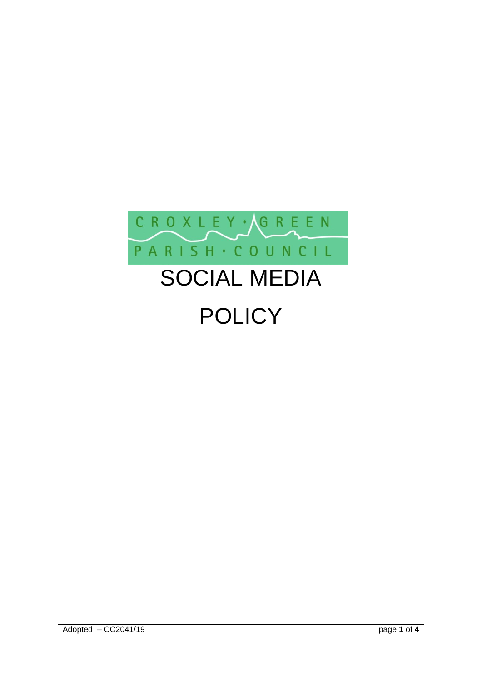

# SOCIAL MEDIA **POLICY**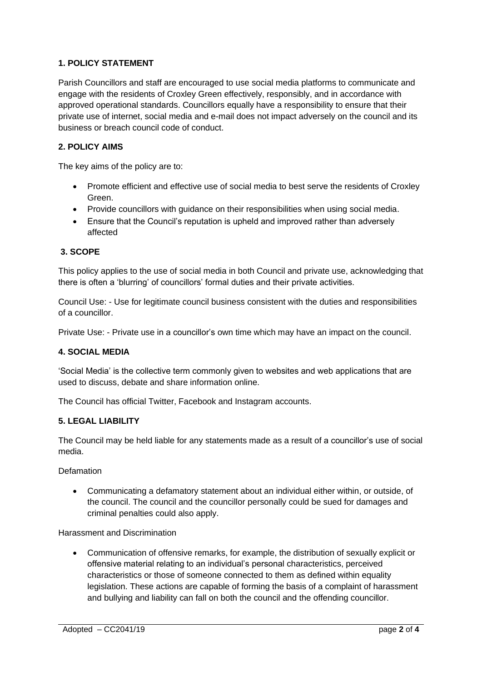# **1. POLICY STATEMENT**

Parish Councillors and staff are encouraged to use social media platforms to communicate and engage with the residents of Croxley Green effectively, responsibly, and in accordance with approved operational standards. Councillors equally have a responsibility to ensure that their private use of internet, social media and e-mail does not impact adversely on the council and its business or breach council code of conduct.

## **2. POLICY AIMS**

The key aims of the policy are to:

- Promote efficient and effective use of social media to best serve the residents of Croxley Green.
- Provide councillors with guidance on their responsibilities when using social media.
- Ensure that the Council's reputation is upheld and improved rather than adversely affected

#### **3. SCOPE**

This policy applies to the use of social media in both Council and private use, acknowledging that there is often a 'blurring' of councillors' formal duties and their private activities.

Council Use: - Use for legitimate council business consistent with the duties and responsibilities of a councillor.

Private Use: - Private use in a councillor's own time which may have an impact on the council.

#### **4. SOCIAL MEDIA**

'Social Media' is the collective term commonly given to websites and web applications that are used to discuss, debate and share information online.

The Council has official Twitter, Facebook and Instagram accounts.

## **5. LEGAL LIABILITY**

The Council may be held liable for any statements made as a result of a councillor's use of social media.

Defamation

• Communicating a defamatory statement about an individual either within, or outside, of the council. The council and the councillor personally could be sued for damages and criminal penalties could also apply.

Harassment and Discrimination

• Communication of offensive remarks, for example, the distribution of sexually explicit or offensive material relating to an individual's personal characteristics, perceived characteristics or those of someone connected to them as defined within equality legislation. These actions are capable of forming the basis of a complaint of harassment and bullying and liability can fall on both the council and the offending councillor.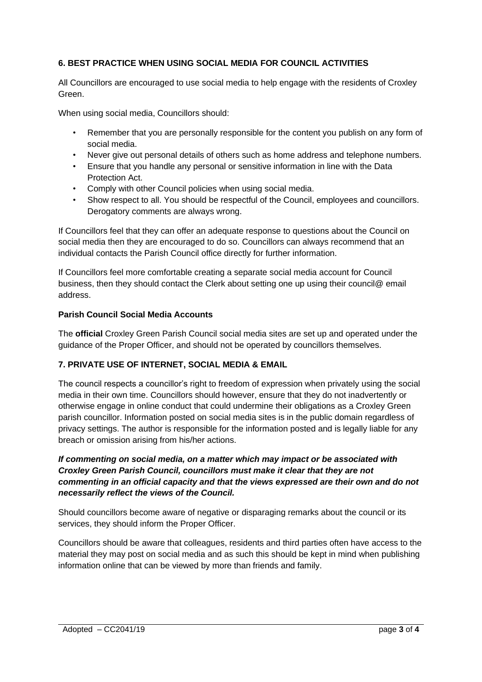## **6. BEST PRACTICE WHEN USING SOCIAL MEDIA FOR COUNCIL ACTIVITIES**

All Councillors are encouraged to use social media to help engage with the residents of Croxley Green.

When using social media, Councillors should:

- Remember that you are personally responsible for the content you publish on any form of social media.
- Never give out personal details of others such as home address and telephone numbers.
- Ensure that you handle any personal or sensitive information in line with the Data Protection Act.
- Comply with other Council policies when using social media.
- Show respect to all. You should be respectful of the Council, employees and councillors. Derogatory comments are always wrong.

If Councillors feel that they can offer an adequate response to questions about the Council on social media then they are encouraged to do so. Councillors can always recommend that an individual contacts the Parish Council office directly for further information.

If Councillors feel more comfortable creating a separate social media account for Council business, then they should contact the Clerk about setting one up using their council@ email address.

## **Parish Council Social Media Accounts**

The **official** Croxley Green Parish Council social media sites are set up and operated under the guidance of the Proper Officer, and should not be operated by councillors themselves.

## **7. PRIVATE USE OF INTERNET, SOCIAL MEDIA & EMAIL**

The council respects a councillor's right to freedom of expression when privately using the social media in their own time. Councillors should however, ensure that they do not inadvertently or otherwise engage in online conduct that could undermine their obligations as a Croxley Green parish councillor. Information posted on social media sites is in the public domain regardless of privacy settings. The author is responsible for the information posted and is legally liable for any breach or omission arising from his/her actions.

## *If commenting on social media, on a matter which may impact or be associated with Croxley Green Parish Council, councillors must make it clear that they are not commenting in an official capacity and that the views expressed are their own and do not necessarily reflect the views of the Council.*

Should councillors become aware of negative or disparaging remarks about the council or its services, they should inform the Proper Officer.

Councillors should be aware that colleagues, residents and third parties often have access to the material they may post on social media and as such this should be kept in mind when publishing information online that can be viewed by more than friends and family.